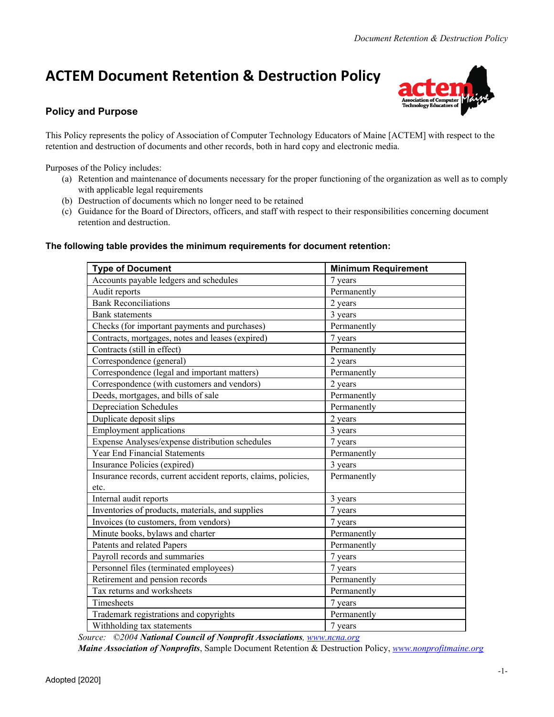# **ACTEM Document Retention & Destruction Policy**



## **Policy and Purpose**

This Policy represents the policy of Association of Computer Technology Educators of Maine [ACTEM] with respect to the retention and destruction of documents and other records, both in hard copy and electronic media.

Purposes of the Policy includes:

- (a) Retention and maintenance of documents necessary for the proper functioning of the organization as well as to comply with applicable legal requirements
- (b) Destruction of documents which no longer need to be retained
- (c) Guidance for the Board of Directors, officers, and staff with respect to their responsibilities concerning document retention and destruction.

#### **The following table provides the minimum requirements for document retention:**

| <b>Type of Document</b>                                        | <b>Minimum Requirement</b> |
|----------------------------------------------------------------|----------------------------|
| Accounts payable ledgers and schedules                         | 7 years                    |
| Audit reports                                                  | Permanently                |
| <b>Bank Reconciliations</b>                                    | 2 years                    |
| <b>Bank</b> statements                                         | 3 years                    |
| Checks (for important payments and purchases)                  | Permanently                |
| Contracts, mortgages, notes and leases (expired)               | 7 years                    |
| Contracts (still in effect)                                    | Permanently                |
| Correspondence (general)                                       | 2 years                    |
| Correspondence (legal and important matters)                   | Permanently                |
| Correspondence (with customers and vendors)                    | 2 years                    |
| Deeds, mortgages, and bills of sale                            | Permanently                |
| <b>Depreciation Schedules</b>                                  | Permanently                |
| Duplicate deposit slips                                        | 2 years                    |
| <b>Employment applications</b>                                 | 3 years                    |
| Expense Analyses/expense distribution schedules                | 7 years                    |
| <b>Year End Financial Statements</b>                           | Permanently                |
| Insurance Policies (expired)                                   | 3 years                    |
| Insurance records, current accident reports, claims, policies, | Permanently                |
| etc.                                                           |                            |
| Internal audit reports                                         | 3 years                    |
| Inventories of products, materials, and supplies               | 7 years                    |
| Invoices (to customers, from vendors)                          | 7 years                    |
| Minute books, bylaws and charter                               | Permanently                |
| Patents and related Papers                                     | Permanently                |
| Payroll records and summaries                                  | 7 years                    |
| Personnel files (terminated employees)                         | 7 years                    |
| Retirement and pension records                                 | Permanently                |
| Tax returns and worksheets                                     | Permanently                |
| Timesheets                                                     | 7 years                    |
| Trademark registrations and copyrights                         | Permanently                |
| Withholding tax statements                                     | 7 years                    |

*Source: ©2004 National Council of Nonprofit Associations, [www.ncna.org](http://www.ncna.org/)*

*Maine Association of Nonprofits*, Sample Document Retention & Destruction Policy, *[www.nonprofitmaine.org](http://www.nonprofitmaine.org/)*